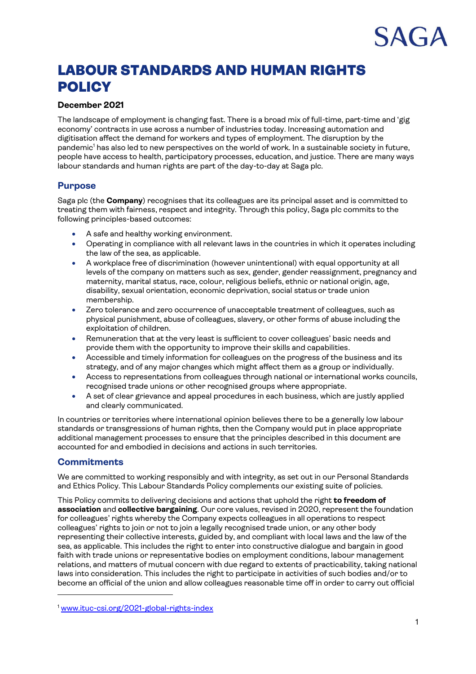# $A \cap A$

# LABOUR STANDARDS AND HUMAN RIGHTS **POLICY**

# **December 2021**

The landscape of employment is changing fast. There is a broad mix of full-time, part-time and 'gig economy' contracts in use across a number of industries today. Increasing automation and digitisation affect the demand for workers and types of employment. The disruption by the pandemic<sup>1</sup> has also led to new perspectives on the world of work. In a sustainable society in future, people have access to health, participatory processes, education, and justice. There are many ways labour standards and human rights are part of the day-to-day at Saga plc.

## **Purpose**

Saga plc (the **Company**) recognises that its colleagues are its principal asset and is committed to treating them with fairness, respect and integrity. Through this policy, Saga plc commits to the following principles-based outcomes:

- A safe and healthy working environment.
- Operating in compliance with all relevant laws in the countries in which it operates including the law of the sea, as applicable.
- A workplace free of discrimination (however unintentional) with equal opportunity at all levels of the company on matters such as sex, gender, gender reassignment, pregnancy and maternity, marital status, race, colour, religious beliefs, ethnic or national origin, age, disability, sexual orientation, economic deprivation, social status or trade union membership.
- Zero tolerance and zero occurrence of unacceptable treatment of colleagues, such as physical punishment, abuse of colleagues, slavery, or other forms of abuse including the exploitation of children.
- Remuneration that at the very least is sufficient to cover colleagues' basic needs and provide them with the opportunity to improve their skills and capabilities.
- Accessible and timely information for colleagues on the progress of the business and its strategy, and of any major changes which might affect them as a group or individually.
- Access to representations from colleagues through national or international works councils, recognised trade unions or other recognised groups where appropriate.
- A set of clear grievance and appeal procedures in each business, which are justly applied and clearly communicated.

In countries or territories where international opinion believes there to be a generally low labour standards or transgressions of human rights, then the Company would put in place appropriate additional management processes to ensure that the principles described in this document are accounted for and embodied in decisions and actions in such territories.

# **Commitments**

We are committed to working responsibly and with integrity, as set out in our Personal Standards and Ethics Policy. This Labour Standards Policy complements our existing suite of policies.

This Policy commits to delivering decisions and actions that uphold the right **to freedom of association** and **collective bargaining**. Our core values, revised in 2020, represent the foundation for colleagues' rights whereby the Company expects colleagues in all operations to respect colleagues' rights to join or not to join a legally recognised trade union, or any other body representing their collective interests, guided by, and compliant with local laws and the law of the sea, as applicable. This includes the right to enter into constructive dialogue and bargain in good faith with trade unions or representative bodies on employment conditions, labour management relations, and matters of mutual concern with due regard to extents of practicability, taking national laws into consideration. This includes the right to participate in activities of such bodies and/or to become an official of the union and allow colleagues reasonable time off in order to carry out official

<sup>1</sup> [www.ituc-csi.org/2021-global-rights-index](http://www.ituc-csi.org/2021-global-rights-index)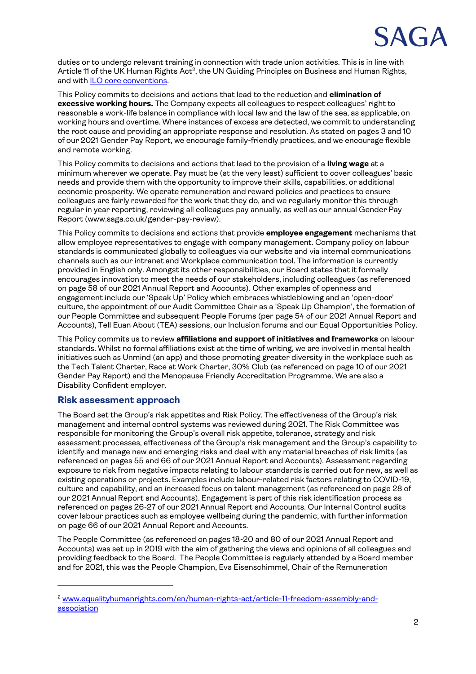

duties or to undergo relevant training in connection with trade union activities. This is in line with Article 11 of the UK Human Rights Act<sup>2</sup>, the UN Guiding Principles on Business and Human Rights, and wit[h ILO core conventions.](https://www.ilo.org/wcmsp5/groups/public/---ed_norm/---normes/documents/publication/wcms_672549.pdf)

This Policy commits to decisions and actions that lead to the reduction and **elimination of excessive working hours.** The Company expects all colleagues to respect colleagues' right to reasonable a work-life balance in compliance with local law and the law of the sea, as applicable, on working hours and overtime. Where instances of excess are detected, we commit to understanding the root cause and providing an appropriate response and resolution. As stated on pages 3 and 10 of our 2021 Gender Pay Report, we encourage family-friendly practices, and we encourage flexible and remote working.

This Policy commits to decisions and actions that lead to the provision of a **living wage** at a minimum wherever we operate. Pay must be (at the very least) sufficient to cover colleagues' basic needs and provide them with the opportunity to improve their skills, capabilities, or additional economic prosperity. We operate remuneration and reward policies and practices to ensure colleagues are fairly rewarded for the work that they do, and we regularly monitor this through regular in year reporting, reviewing all colleagues pay annually, as well as our annual Gender Pay Report (www.saga.co.uk/gender-pay-review).

This Policy commits to decisions and actions that provide **employee engagement** mechanisms that allow employee representatives to engage with company management. Company policy on labour standards is communicated globally to colleagues via our website and via internal communications channels such as our intranet and Workplace communication tool. The information is currently provided in English only. Amongst its other responsibilities, our Board states that it formally encourages innovation to meet the needs of our stakeholders, including colleagues (as referenced on page 58 of our 2021 Annual Report and Accounts). Other examples of openness and engagement include our 'Speak Up' Policy which embraces whistleblowing and an 'open-door' culture, the appointment of our Audit Committee Chair as a 'Speak Up Champion', the formation of our People Committee and subsequent People Forums (per page 54 of our 2021 Annual Report and Accounts), Tell Euan About (TEA) sessions, our Inclusion forums and our Equal Opportunities Policy.

This Policy commits us to review **affiliations and support of initiatives and frameworks** on labour standards. Whilst no formal affiliations exist at the time of writing, we are involved in mental health initiatives such as Unmind (an app) and those promoting greater diversity in the workplace such as the Tech Talent Charter, Race at Work Charter, 30% Club (as referenced on page 10 of our 2021 Gender Pay Report) and the Menopause Friendly Accreditation Programme. We are also a Disability Confident employer.

### **Risk assessment approach**

The Board set the Group's risk appetites and Risk Policy. The effectiveness of the Group's risk management and internal control systems was reviewed during 2021. The Risk Committee was responsible for monitoring the Group's overall risk appetite, tolerance, strategy and risk assessment processes, effectiveness of the Group's risk management and the Group's capability to identify and manage new and emerging risks and deal with any material breaches of risk limits (as referenced on pages 55 and 66 of our 2021 Annual Report and Accounts). Assessment regarding exposure to risk from negative impacts relating to labour standards is carried out for new, as well as existing operations or projects. Examples include labour-related risk factors relating to COVID-19, culture and capability, and an increased focus on talent management (as referenced on page 28 of our 2021 Annual Report and Accounts). Engagement is part of this risk identification process as referenced on pages 26-27 of our 2021 Annual Report and Accounts. Our Internal Control audits cover labour practices such as employee wellbeing during the pandemic, with further information on page 66 of our 2021 Annual Report and Accounts.

The People Committee (as referenced on pages 18-20 and 80 of our 2021 Annual Report and Accounts) was set up in 2019 with the aim of gathering the views and opinions of all colleagues and providing feedback to the Board. The People Committee is regularly attended by a Board member and for 2021, this was the People Champion, Eva Eisenschimmel, Chair of the Remuneration

<sup>2</sup> [www.equalityhumanrights.com/en/human-rights-act/article-11-freedom-assembly-and](file://///congo/Personnel/Public/DE&I%20_%20Org%20Design/FTSE4Good/www.equalityhumanrights.com/en/human-rights-act/article-11-freedom-assembly-and-association)[association](file://///congo/Personnel/Public/DE&I%20_%20Org%20Design/FTSE4Good/www.equalityhumanrights.com/en/human-rights-act/article-11-freedom-assembly-and-association)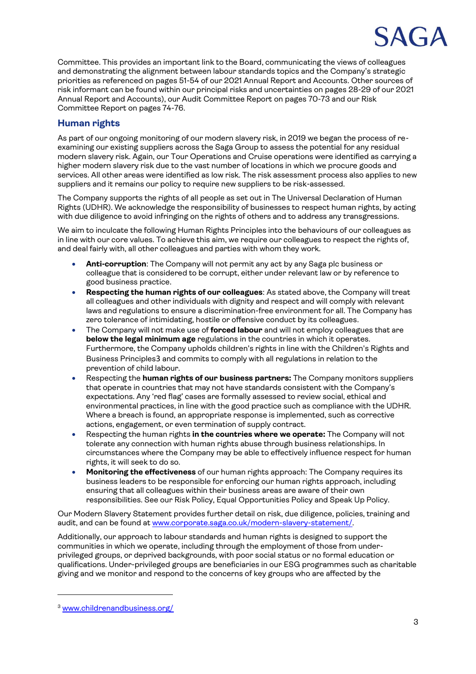

Committee. This provides an important link to the Board, communicating the views of colleagues and demonstrating the alignment between labour standards topics and the Company's strategic priorities as referenced on pages 51-54 of our 2021 Annual Report and Accounts. Other sources of risk informant can be found within our principal risks and uncertainties on pages 28-29 of our 2021 Annual Report and Accounts), our Audit Committee Report on pages 70-73 and our Risk Committee Report on pages 74-76.

# **Human rights**

As part of our ongoing monitoring of our modern slavery risk, in 2019 we began the process of reexamining our existing suppliers across the Saga Group to assess the potential for any residual modern slavery risk. Again, our Tour Operations and Cruise operations were identified as carrying a higher modern slavery risk due to the vast number of locations in which we procure goods and services. All other areas were identified as low risk. The risk assessment process also applies to new suppliers and it remains our policy to require new suppliers to be risk-assessed.

The Company supports the rights of all people as set out in The Universal Declaration of Human Rights (UDHR). We acknowledge the responsibility of businesses to respect human rights, by acting with due diligence to avoid infringing on the rights of others and to address any transgressions.

We aim to inculcate the following Human Rights Principles into the behaviours of our colleagues as in line with our core values. To achieve this aim, we require our colleagues to respect the rights of, and deal fairly with, all other colleagues and parties with whom they work.

- **Anti-corruption**: The Company will not permit any act by any Saga plc business or colleague that is considered to be corrupt, either under relevant law or by reference to good business practice.
- **Respecting the human rights of our colleagues**: As stated above, the Company will treat all colleagues and other individuals with dignity and respect and will comply with relevant laws and regulations to ensure a discrimination-free environment for all. The Company has zero tolerance of intimidating, hostile or offensive conduct by its colleagues.
- The Company will not make use of **forced labour** and will not employ colleagues that are **below the legal minimum age** regulations in the countries in which it operates. Furthermore, the Company upholds children's rights in line with the Children's Rights and Business Principles3 and commits to comply with all regulations in relation to the prevention of child labour.
- Respecting the **human rights of our business partners:** The Company monitors suppliers that operate in countries that may not have standards consistent with the Company's expectations. Any 'red flag' cases are formally assessed to review social, ethical and environmental practices, in line with the good practice such as compliance with the UDHR. Where a breach is found, an appropriate response is implemented, such as corrective actions, engagement, or even termination of supply contract.
- Respecting the human rights **in the countries where we operate:** The Company will not tolerate any connection with human rights abuse through business relationships. In circumstances where the Company may be able to effectively influence respect for human rights, it will seek to do so.
- **Monitoring the effectiveness** of our human rights approach: The Company requires its business leaders to be responsible for enforcing our human rights approach, including ensuring that all colleagues within their business areas are aware of their own responsibilities. See our Risk Policy, Equal Opportunities Policy and Speak Up Policy.

Our Modern Slavery Statement provides further detail on risk, due diligence, policies, training and audit, and can be found at [www.corporate.saga.co.uk/modern-slavery-statement/.](http://www.corporate.saga.co.uk/modern-slavery-statement/)

Additionally, our approach to labour standards and human rights is designed to support the communities in which we operate, including through the employment of those from underprivileged groups, or deprived backgrounds, with poor social status or no formal education or qualifications. Under-privileged groups are beneficiaries in our ESG programmes such as charitable giving and we monitor and respond to the concerns of key groups who are affected by the

<sup>3</sup> [www.childrenandbusiness.org/](http://www.childrenandbusiness.org/)